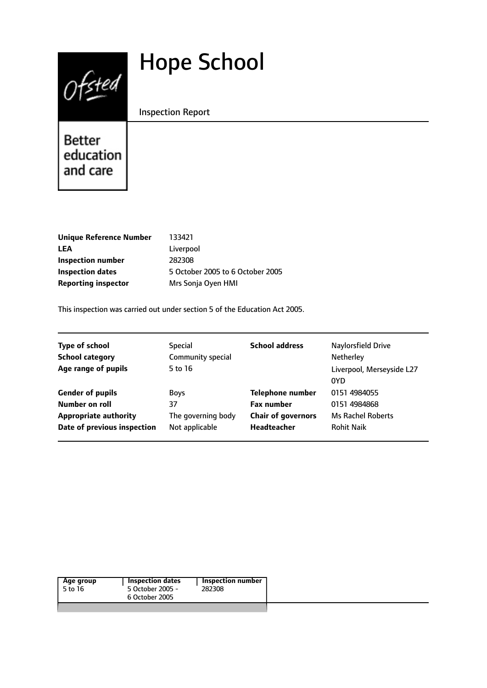# Hope School



Inspection Report

Better education and care

| <b>Unique Reference Number</b> | 133421                           |
|--------------------------------|----------------------------------|
| LEA                            | Liverpool                        |
| Inspection number              | 282308                           |
| Inspection dates               | 5 October 2005 to 6 October 2005 |
| <b>Reporting inspector</b>     | Mrs Sonja Oyen HMI               |
|                                |                                  |

This inspection was carried out under section 5 of the Education Act 2005.

| <b>Type of school</b>                                       | <b>Special</b>                       | <b>School address</b>                    | Naylorsfield Drive                     |
|-------------------------------------------------------------|--------------------------------------|------------------------------------------|----------------------------------------|
| <b>School category</b>                                      | Community special                    |                                          | Netherley                              |
| Age range of pupils                                         | 5 to 16                              |                                          | Liverpool, Merseyside L27<br>0YD       |
| <b>Gender of pupils</b>                                     | <b>Boys</b>                          | <b>Telephone number</b>                  | 0151 4984055                           |
| Number on roll                                              | 37                                   | <b>Fax number</b>                        | 0151 4984868                           |
| <b>Appropriate authority</b><br>Date of previous inspection | The governing body<br>Not applicable | <b>Chair of governors</b><br>Headteacher | Ms Rachel Roberts<br><b>Rohit Naik</b> |

| Age group<br>5 to 16 | <b>Inspection dates</b><br>5 October 2005 -<br>6 October 2005 | <b>Inspection number</b><br>282308 |
|----------------------|---------------------------------------------------------------|------------------------------------|
|                      |                                                               |                                    |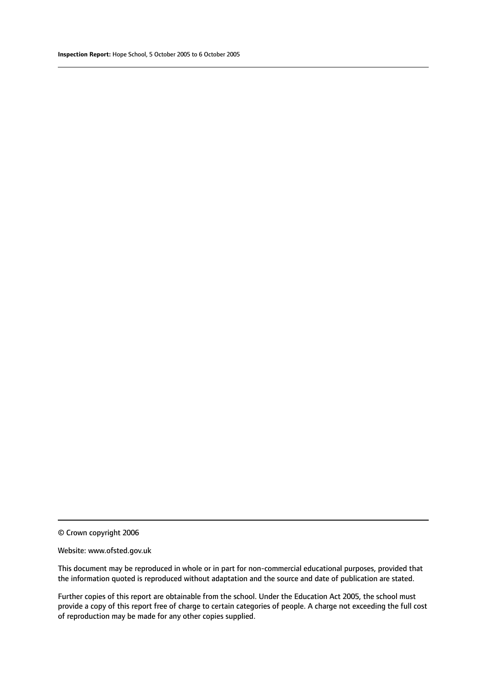#### Website: www.ofsted.gov.uk

This document may be reproduced in whole or in part for non-commercial educational purposes, provided that the information quoted is reproduced without adaptation and the source and date of publication are stated.

Further copies of this report are obtainable from the school. Under the Education Act 2005, the school must provide a copy of this report free of charge to certain categories of people. A charge not exceeding the full cost of reproduction may be made for any other copies supplied.

<sup>©</sup> Crown copyright 2006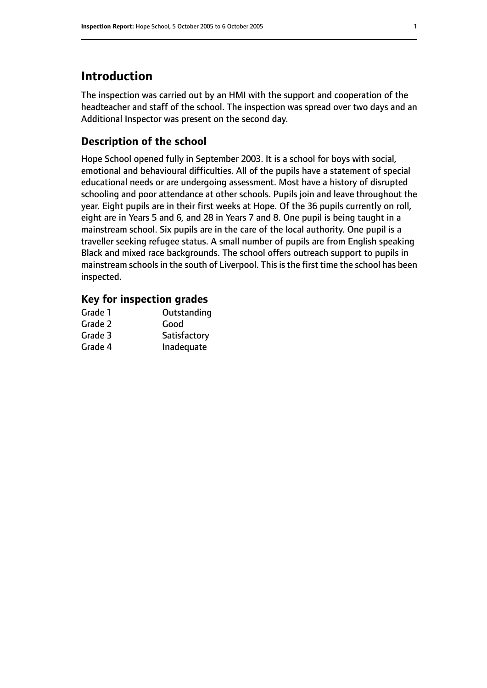# **Introduction**

The inspection was carried out by an HMI with the support and cooperation of the headteacher and staff of the school. The inspection was spread over two days and an Additional Inspector was present on the second day.

# **Description of the school**

Hope School opened fully in September 2003. It is a school for boys with social, emotional and behavioural difficulties. All of the pupils have a statement of special educational needs or are undergoing assessment. Most have a history of disrupted schooling and poor attendance at other schools. Pupils join and leave throughout the year. Eight pupils are in their first weeks at Hope. Of the 36 pupils currently on roll, eight are in Years 5 and 6, and 28 in Years 7 and 8. One pupil is being taught in a mainstream school. Six pupils are in the care of the local authority. One pupil is a traveller seeking refugee status. A small number of pupils are from English speaking Black and mixed race backgrounds. The school offers outreach support to pupils in mainstream schools in the south of Liverpool. This is the first time the school has been inspected.

## **Key for inspection grades**

| Grade 1 | Outstanding  |
|---------|--------------|
| Grade 2 | Good         |
| Grade 3 | Satisfactory |
| Grade 4 | Inadequate   |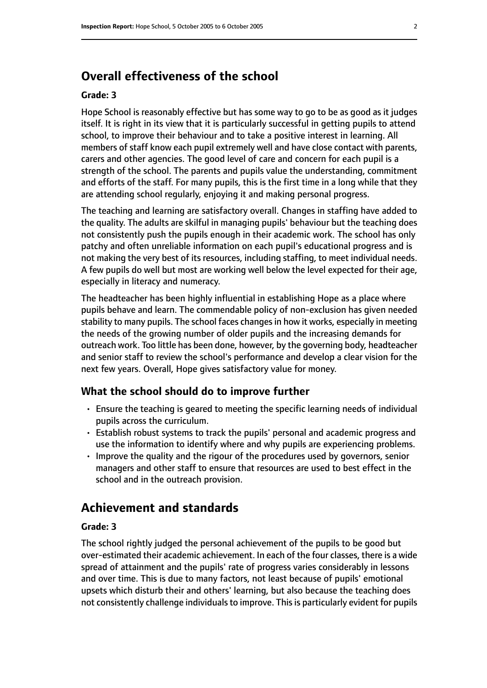# **Overall effectiveness of the school**

#### **Grade: 3**

Hope School is reasonably effective but has some way to go to be as good as it judges itself. It is right in its view that it is particularly successful in getting pupils to attend school, to improve their behaviour and to take a positive interest in learning. All members of staff know each pupil extremely well and have close contact with parents, carers and other agencies. The good level of care and concern for each pupil is a strength of the school. The parents and pupils value the understanding, commitment and efforts of the staff. For many pupils, this is the first time in a long while that they are attending school regularly, enjoying it and making personal progress.

The teaching and learning are satisfactory overall. Changes in staffing have added to the quality. The adults are skilful in managing pupils' behaviour but the teaching does not consistently push the pupils enough in their academic work. The school has only patchy and often unreliable information on each pupil's educational progress and is not making the very best of its resources, including staffing, to meet individual needs. A few pupils do well but most are working well below the level expected for their age, especially in literacy and numeracy.

The headteacher has been highly influential in establishing Hope as a place where pupils behave and learn. The commendable policy of non-exclusion has given needed stability to many pupils. The school faces changes in how it works, especially in meeting the needs of the growing number of older pupils and the increasing demands for outreach work. Too little has been done, however, by the governing body, headteacher and senior staff to review the school's performance and develop a clear vision for the next few years. Overall, Hope gives satisfactory value for money.

#### **What the school should do to improve further**

- Ensure the teaching is geared to meeting the specific learning needs of individual pupils across the curriculum.
- Establish robust systems to track the pupils' personal and academic progress and use the information to identify where and why pupils are experiencing problems.
- Improve the quality and the rigour of the procedures used by governors, senior managers and other staff to ensure that resources are used to best effect in the school and in the outreach provision.

# **Achievement and standards**

#### **Grade: 3**

The school rightly judged the personal achievement of the pupils to be good but over-estimated their academic achievement. In each of the four classes, there is a wide spread of attainment and the pupils' rate of progress varies considerably in lessons and over time. This is due to many factors, not least because of pupils' emotional upsets which disturb their and others' learning, but also because the teaching does not consistently challenge individuals to improve. This is particularly evident for pupils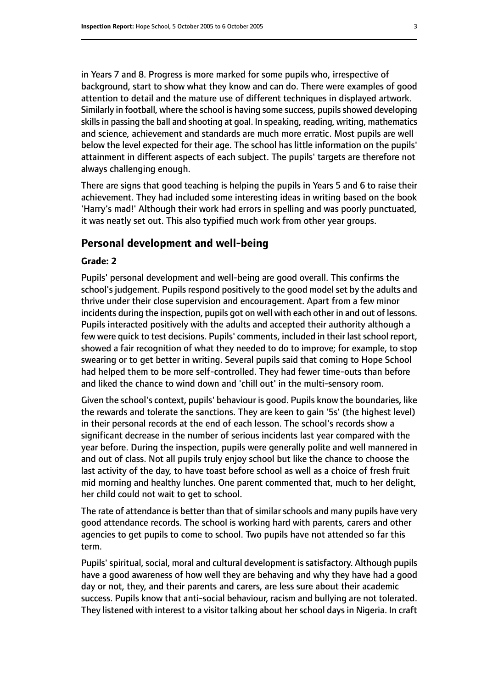in Years 7 and 8. Progress is more marked for some pupils who, irrespective of background, start to show what they know and can do. There were examples of good attention to detail and the mature use of different techniques in displayed artwork. Similarly in football, where the school is having some success, pupils showed developing skills in passing the ball and shooting at goal. In speaking, reading, writing, mathematics and science, achievement and standards are much more erratic. Most pupils are well below the level expected for their age. The school has little information on the pupils' attainment in different aspects of each subject. The pupils' targets are therefore not always challenging enough.

There are signs that good teaching is helping the pupils in Years 5 and 6 to raise their achievement. They had included some interesting ideas in writing based on the book 'Harry's mad!' Although their work had errors in spelling and was poorly punctuated, it was neatly set out. This also typified much work from other year groups.

#### **Personal development and well-being**

#### **Grade: 2**

Pupils' personal development and well-being are good overall. This confirms the school's judgement. Pupils respond positively to the good model set by the adults and thrive under their close supervision and encouragement. Apart from a few minor incidents during the inspection, pupils got on well with each other in and out of lessons. Pupils interacted positively with the adults and accepted their authority although a few were quick to test decisions. Pupils' comments, included in their last school report, showed a fair recognition of what they needed to do to improve; for example, to stop swearing or to get better in writing. Several pupils said that coming to Hope School had helped them to be more self-controlled. They had fewer time-outs than before and liked the chance to wind down and 'chill out' in the multi-sensory room.

Given the school's context, pupils' behaviour is good. Pupils know the boundaries, like the rewards and tolerate the sanctions. They are keen to gain '5s' (the highest level) in their personal records at the end of each lesson. The school's records show a significant decrease in the number of serious incidents last year compared with the year before. During the inspection, pupils were generally polite and well mannered in and out of class. Not all pupils truly enjoy school but like the chance to choose the last activity of the day, to have toast before school as well as a choice of fresh fruit mid morning and healthy lunches. One parent commented that, much to her delight, her child could not wait to get to school.

The rate of attendance is better than that of similar schools and many pupils have very good attendance records. The school is working hard with parents, carers and other agencies to get pupils to come to school. Two pupils have not attended so far this term.

Pupils' spiritual, social, moral and cultural development is satisfactory. Although pupils have a good awareness of how well they are behaving and why they have had a good day or not, they, and their parents and carers, are less sure about their academic success. Pupils know that anti-social behaviour, racism and bullying are not tolerated. They listened with interest to a visitor talking about her school days in Nigeria. In craft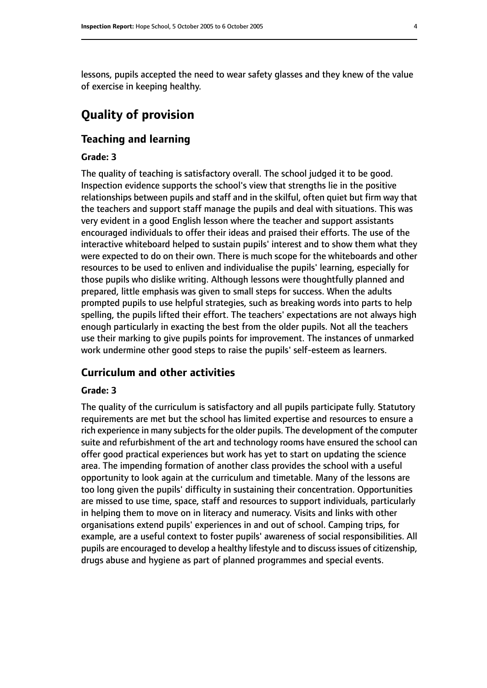lessons, pupils accepted the need to wear safety glasses and they knew of the value of exercise in keeping healthy.

# **Quality of provision**

# **Teaching and learning**

## **Grade: 3**

The quality of teaching is satisfactory overall. The school judged it to be good. Inspection evidence supports the school's view that strengths lie in the positive relationships between pupils and staff and in the skilful, often quiet but firm way that the teachers and support staff manage the pupils and deal with situations. This was very evident in a good English lesson where the teacher and support assistants encouraged individuals to offer their ideas and praised their efforts. The use of the interactive whiteboard helped to sustain pupils' interest and to show them what they were expected to do on their own. There is much scope for the whiteboards and other resources to be used to enliven and individualise the pupils' learning, especially for those pupils who dislike writing. Although lessons were thoughtfully planned and prepared, little emphasis was given to small steps for success. When the adults prompted pupils to use helpful strategies, such as breaking words into parts to help spelling, the pupils lifted their effort. The teachers' expectations are not always high enough particularly in exacting the best from the older pupils. Not all the teachers use their marking to give pupils points for improvement. The instances of unmarked work undermine other good steps to raise the pupils' self-esteem as learners.

## **Curriculum and other activities**

#### **Grade: 3**

The quality of the curriculum is satisfactory and all pupils participate fully. Statutory requirements are met but the school has limited expertise and resources to ensure a rich experience in many subjects for the older pupils. The development of the computer suite and refurbishment of the art and technology rooms have ensured the school can offer good practical experiences but work has yet to start on updating the science area. The impending formation of another class provides the school with a useful opportunity to look again at the curriculum and timetable. Many of the lessons are too long given the pupils' difficulty in sustaining their concentration. Opportunities are missed to use time, space, staff and resources to support individuals, particularly in helping them to move on in literacy and numeracy. Visits and links with other organisations extend pupils' experiences in and out of school. Camping trips, for example, are a useful context to foster pupils' awareness of social responsibilities. All pupils are encouraged to develop a healthy lifestyle and to discuss issues of citizenship, drugs abuse and hygiene as part of planned programmes and special events.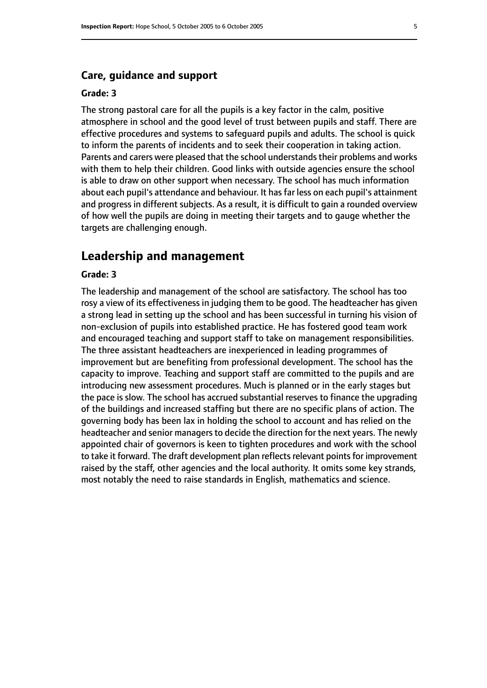## **Care, guidance and support**

#### **Grade: 3**

The strong pastoral care for all the pupils is a key factor in the calm, positive atmosphere in school and the good level of trust between pupils and staff. There are effective procedures and systems to safeguard pupils and adults. The school is quick to inform the parents of incidents and to seek their cooperation in taking action. Parents and carers were pleased that the school understands their problems and works with them to help their children. Good links with outside agencies ensure the school is able to draw on other support when necessary. The school has much information about each pupil's attendance and behaviour. It has far less on each pupil's attainment and progress in different subjects. As a result, it is difficult to gain a rounded overview of how well the pupils are doing in meeting their targets and to gauge whether the targets are challenging enough.

# **Leadership and management**

#### **Grade: 3**

The leadership and management of the school are satisfactory. The school has too rosy a view of its effectiveness in judging them to be good. The headteacher has given a strong lead in setting up the school and has been successful in turning his vision of non-exclusion of pupils into established practice. He has fostered good team work and encouraged teaching and support staff to take on management responsibilities. The three assistant headteachers are inexperienced in leading programmes of improvement but are benefiting from professional development. The school has the capacity to improve. Teaching and support staff are committed to the pupils and are introducing new assessment procedures. Much is planned or in the early stages but the pace is slow. The school has accrued substantial reserves to finance the upgrading of the buildings and increased staffing but there are no specific plans of action. The governing body has been lax in holding the school to account and has relied on the headteacher and senior managers to decide the direction for the next years. The newly appointed chair of governors is keen to tighten procedures and work with the school to take it forward. The draft development plan reflects relevant points for improvement raised by the staff, other agencies and the local authority. It omits some key strands, most notably the need to raise standards in English, mathematics and science.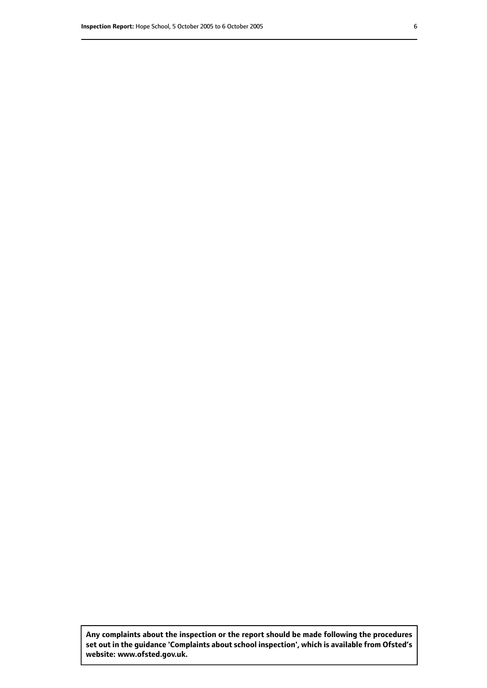**Any complaints about the inspection or the report should be made following the procedures set out inthe guidance 'Complaints about school inspection', whichis available from Ofsted's website: www.ofsted.gov.uk.**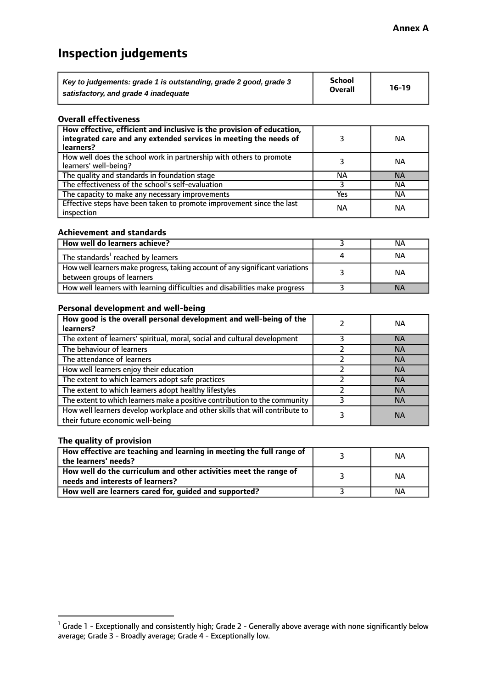# **Inspection judgements**

| Key to judgements: grade 1 is outstanding, grade 2 good, grade 3 | <b>School</b>  | $16-19$ |
|------------------------------------------------------------------|----------------|---------|
| satisfactory, and grade 4 inadequate                             | <b>Overall</b> |         |

#### **Overall effectiveness**

| How effective, efficient and inclusive is the provision of education,<br>integrated care and any extended services in meeting the needs of<br>learners? |     | ΝA        |
|---------------------------------------------------------------------------------------------------------------------------------------------------------|-----|-----------|
| How well does the school work in partnership with others to promote<br>learners' well-being?                                                            |     | ΝA        |
| The quality and standards in foundation stage                                                                                                           | ΝA  | <b>NA</b> |
| The effectiveness of the school's self-evaluation                                                                                                       |     | ΝA        |
| The capacity to make any necessary improvements                                                                                                         | Yes | NА        |
| Effective steps have been taken to promote improvement since the last<br>inspection                                                                     | ΝA  | <b>NA</b> |

#### **Achievement and standards**

| How well do learners achieve?                                                                               | ΝA        |
|-------------------------------------------------------------------------------------------------------------|-----------|
| The standards <sup>1</sup> reached by learners                                                              | ΝA        |
| How well learners make progress, taking account of any significant variations<br>between groups of learners | <b>NA</b> |
| How well learners with learning difficulties and disabilities make progress                                 | <b>NA</b> |

#### **Personal development and well-being**

| How good is the overall personal development and well-being of the<br>learners?                                  | ΝA        |
|------------------------------------------------------------------------------------------------------------------|-----------|
| The extent of learners' spiritual, moral, social and cultural development                                        | <b>NA</b> |
| The behaviour of learners                                                                                        | <b>NA</b> |
| The attendance of learners                                                                                       | <b>NA</b> |
| How well learners enjoy their education                                                                          | <b>NA</b> |
| The extent to which learners adopt safe practices                                                                | <b>NA</b> |
| The extent to which learners adopt healthy lifestyles                                                            | <b>NA</b> |
| The extent to which learners make a positive contribution to the community                                       | <b>NA</b> |
| How well learners develop workplace and other skills that will contribute to<br>their future economic well-being | <b>NA</b> |

# **The quality of provision**

| How effective are teaching and learning in meeting the full range of<br>the learners' needs?          | ΝA |
|-------------------------------------------------------------------------------------------------------|----|
| How well do the curriculum and other activities meet the range of<br>needs and interests of learners? | ΝA |
| How well are learners cared for, guided and supported?                                                | ΝA |

 $^1$  Grade 1 - Exceptionally and consistently high; Grade 2 - Generally above average with none significantly below average; Grade 3 - Broadly average; Grade 4 - Exceptionally low.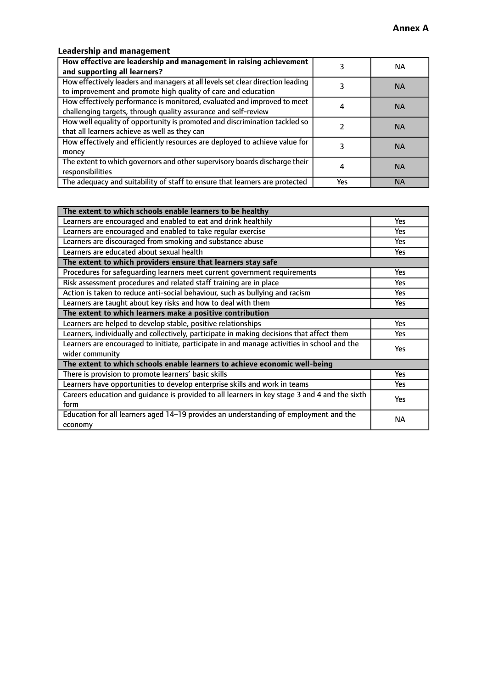# **Leadership and management**

| How effective are leadership and management in raising achievement<br>and supporting all learners?                                              |     | NA.       |
|-------------------------------------------------------------------------------------------------------------------------------------------------|-----|-----------|
| How effectively leaders and managers at all levels set clear direction leading<br>to improvement and promote high quality of care and education |     | <b>NA</b> |
| How effectively performance is monitored, evaluated and improved to meet<br>challenging targets, through quality assurance and self-review      |     | <b>NA</b> |
| How well equality of opportunity is promoted and discrimination tackled so<br>that all learners achieve as well as they can                     |     | <b>NA</b> |
| How effectively and efficiently resources are deployed to achieve value for<br>money                                                            |     | <b>NA</b> |
| The extent to which governors and other supervisory boards discharge their<br>responsibilities                                                  |     | <b>NA</b> |
| The adequacy and suitability of staff to ensure that learners are protected                                                                     | Yes | <b>NA</b> |

| The extent to which schools enable learners to be healthy                                     |            |  |
|-----------------------------------------------------------------------------------------------|------------|--|
| Learners are encouraged and enabled to eat and drink healthily                                | Yes        |  |
| Learners are encouraged and enabled to take regular exercise                                  | Yes        |  |
| Learners are discouraged from smoking and substance abuse                                     | <b>Yes</b> |  |
| Learners are educated about sexual health                                                     | <b>Yes</b> |  |
| The extent to which providers ensure that learners stay safe                                  |            |  |
| Procedures for safequarding learners meet current government requirements                     | Yes        |  |
| Risk assessment procedures and related staff training are in place                            | Yes        |  |
| Action is taken to reduce anti-social behaviour, such as bullying and racism                  | Yes        |  |
| Learners are taught about key risks and how to deal with them                                 |            |  |
| The extent to which learners make a positive contribution                                     |            |  |
| Learners are helped to develop stable, positive relationships                                 | Yes        |  |
| Learners, individually and collectively, participate in making decisions that affect them     |            |  |
| Learners are encouraged to initiate, participate in and manage activities in school and the   | <b>Yes</b> |  |
| wider community                                                                               |            |  |
| The extent to which schools enable learners to achieve economic well-being                    |            |  |
| There is provision to promote learners' basic skills                                          | Yes        |  |
| Learners have opportunities to develop enterprise skills and work in teams                    | Yes        |  |
| Careers education and guidance is provided to all learners in key stage 3 and 4 and the sixth | <b>Yes</b> |  |
| form                                                                                          |            |  |
| Education for all learners aged 14-19 provides an understanding of employment and the         | NА         |  |
| economy                                                                                       |            |  |